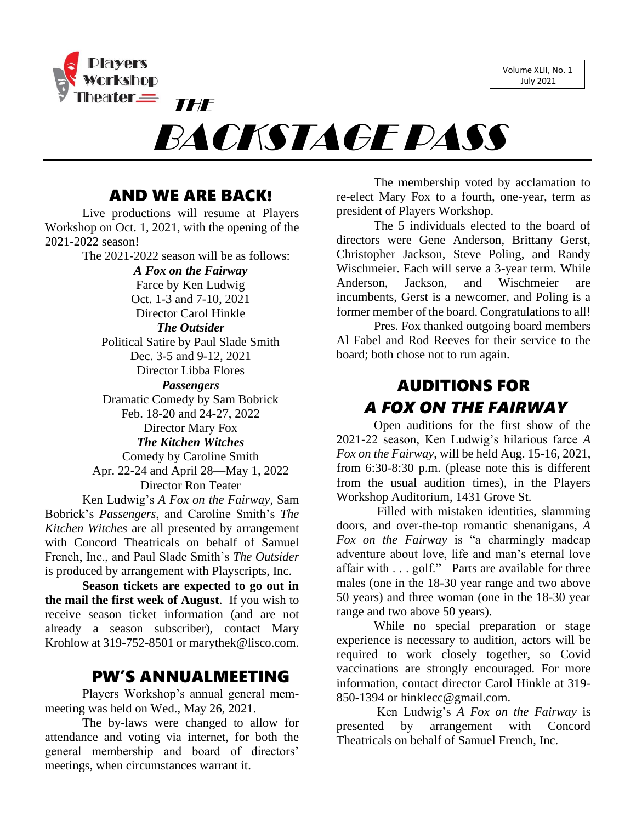Volume XLII, No. 1 July 2021



# BACKSTAGE PASS

# AND WE ARE BACK!

Live productions will resume at Players Workshop on Oct. 1, 2021, with the opening of the 2021-2022 season!

The 2021-2022 season will be as follows:

*A Fox on the Fairway* Farce by Ken Ludwig Oct. 1-3 and 7-10, 2021 Director Carol Hinkle *The Outsider* Political Satire by Paul Slade Smith Dec. 3-5 and 9-12, 2021 Director Libba Flores *Passengers* Dramatic Comedy by Sam Bobrick Feb. 18-20 and 24-27, 2022 Director Mary Fox *The Kitchen Witches* Comedy by Caroline Smith Apr. 22-24 and April 28—May 1, 2022 Director Ron Teater Ken Ludwig's *A Fox on the Fairway*, Sam

Bobrick's *Passengers*, and Caroline Smith's *The Kitchen Witches* are all presented by arrangement with Concord Theatricals on behalf of Samuel French, Inc., and Paul Slade Smith's *The Outsider* is produced by arrangement with Playscripts, Inc.

**Season tickets are expected to go out in the mail the first week of August**. If you wish to receive season ticket information (and are not already a season subscriber), contact Mary Krohlow at 319-752-8501 or [marythek@lisco.com.](mailto:marythek@lisco.com)

## PW'S ANNUALMEETING

Players Workshop's annual general memmeeting was held on Wed., May 26, 2021.

The by-laws were changed to allow for attendance and voting via internet, for both the general membership and board of directors' meetings, when circumstances warrant it.

The membership voted by acclamation to re-elect Mary Fox to a fourth, one-year, term as president of Players Workshop.

The 5 individuals elected to the board of directors were Gene Anderson, Brittany Gerst, Christopher Jackson, Steve Poling, and Randy Wischmeier. Each will serve a 3-year term. While Anderson, Jackson, and Wischmeier are incumbents, Gerst is a newcomer, and Poling is a former member of the board. Congratulations to all!

Pres. Fox thanked outgoing board members Al Fabel and Rod Reeves for their service to the board; both chose not to run again.

# AUDITIONS FOR *A FOX ON THE FAIRWAY*

Open auditions for the first show of the 2021-22 season, Ken Ludwig's hilarious farce *A Fox on the Fairway*, will be held Aug. 15-16, 2021, from 6:30-8:30 p.m. (please note this is different from the usual audition times), in the Players Workshop Auditorium, 1431 Grove St.

Filled with mistaken identities, slamming doors, and over-the-top romantic shenanigans, *A Fox on the Fairway* is "a charmingly madcap adventure about love, life and man's eternal love affair with . . . golf." Parts are available for three males (one in the 18-30 year range and two above 50 years) and three woman (one in the 18-30 year range and two above 50 years).

While no special preparation or stage experience is necessary to audition, actors will be required to work closely together, so Covid vaccinations are strongly encouraged. For more information, contact director Carol Hinkle at 319- 850-1394 or [hinklecc@gmail.com.](mailto:hinklecc@gmail.com)

Ken Ludwig's *A Fox on the Fairway* is presented by arrangement with Concord Theatricals on behalf of Samuel French, Inc.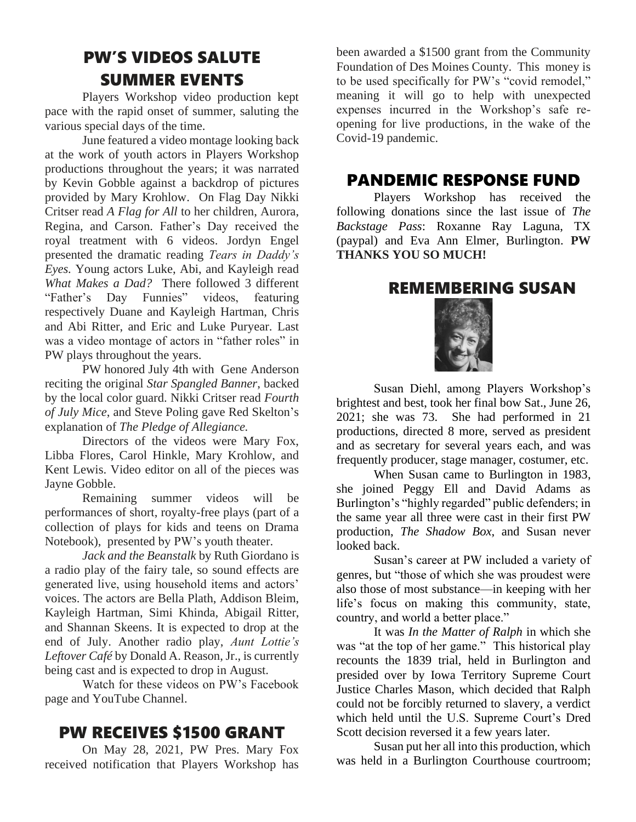# PW'S VIDEOS SALUTE SUMMER EVENTS

Players Workshop video production kept pace with the rapid onset of summer, saluting the various special days of the time.

June featured a video montage looking back at the work of youth actors in Players Workshop productions throughout the years; it was narrated by Kevin Gobble against a backdrop of pictures provided by Mary Krohlow. On Flag Day Nikki Critser read *A Flag for All* to her children, Aurora, Regina, and Carson. Father's Day received the royal treatment with 6 videos. Jordyn Engel presented the dramatic reading *Tears in Daddy's Eyes.* Young actors Luke, Abi, and Kayleigh read *What Makes a Dad?* There followed 3 different "Father's Day Funnies" videos, featuring respectively Duane and Kayleigh Hartman, Chris and Abi Ritter, and Eric and Luke Puryear. Last was a video montage of actors in "father roles" in PW plays throughout the years.

PW honored July 4th with Gene Anderson reciting the original *Star Spangled Banner*, backed by the local color guard. Nikki Critser read *Fourth of July Mice*, and Steve Poling gave Red Skelton's explanation of *The Pledge of Allegiance.*

Directors of the videos were Mary Fox, Libba Flores, Carol Hinkle, Mary Krohlow, and Kent Lewis. Video editor on all of the pieces was Jayne Gobble.

Remaining summer videos will be performances of short, royalty-free plays (part of a collection of plays for kids and teens on Drama Notebook), presented by PW's youth theater.

*Jack and the Beanstalk* by Ruth Giordano is a radio play of the fairy tale, so sound effects are generated live, using household items and actors' voices. The actors are Bella Plath, Addison Bleim, Kayleigh Hartman, Simi Khinda, Abigail Ritter, and Shannan Skeens. It is expected to drop at the end of July. Another radio play, *Aunt Lottie's Leftover Café* by Donald A. Reason, Jr., is currently being cast and is expected to drop in August.

Watch for these videos on PW's Facebook page and YouTube Channel.

# PW RECEIVES \$1500 GRANT

On May 28, 2021, PW Pres. Mary Fox received notification that Players Workshop has

been awarded a \$1500 grant from the Community Foundation of Des Moines County. This money is to be used specifically for PW's "covid remodel," meaning it will go to help with unexpected expenses incurred in the Workshop's safe reopening for live productions, in the wake of the Covid-19 pandemic.

### PANDEMIC RESPONSE FUND

Players Workshop has received the following donations since the last issue of *The Backstage Pass*: Roxanne Ray Laguna, TX (paypal) and Eva Ann Elmer, Burlington. **PW THANKS YOU SO MUCH!**

#### REMEMBERING SUSAN



Susan Diehl, among Players Workshop's brightest and best, took her final bow Sat., June 26, 2021; she was 73. She had performed in 21 productions, directed 8 more, served as president and as secretary for several years each, and was frequently producer, stage manager, costumer, etc.

When Susan came to Burlington in 1983, she joined Peggy Ell and David Adams as Burlington's "highly regarded" public defenders; in the same year all three were cast in their first PW production, *The Shadow Box*, and Susan never looked back.

Susan's career at PW included a variety of genres, but "those of which she was proudest were also those of most substance—in keeping with her life's focus on making this community, state, country, and world a better place."

It was *In the Matter of Ralph* in which she was "at the top of her game." This historical play recounts the 1839 trial, held in Burlington and presided over by Iowa Territory Supreme Court Justice Charles Mason, which decided that Ralph could not be forcibly returned to slavery, a verdict which held until the U.S. Supreme Court's Dred Scott decision reversed it a few years later.

Susan put her all into this production, which was held in a Burlington Courthouse courtroom;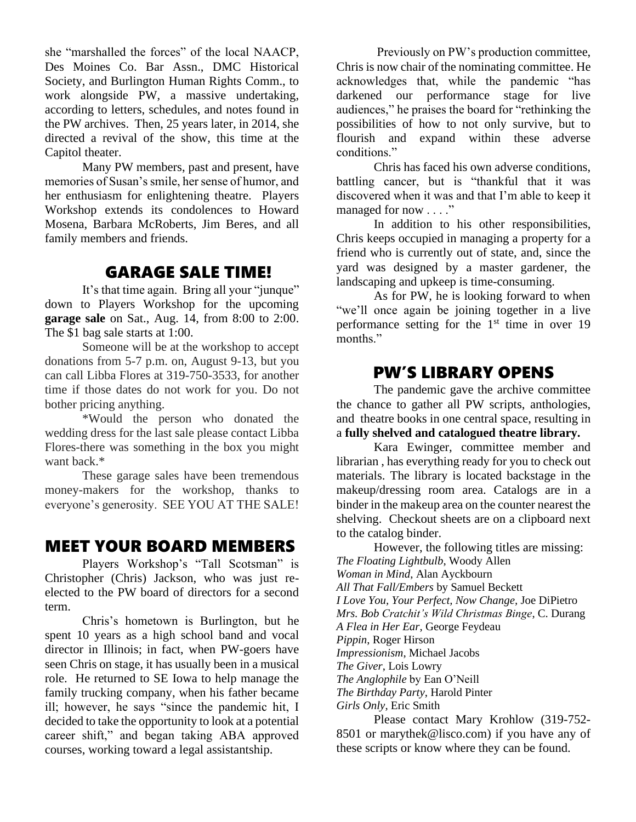she "marshalled the forces" of the local NAACP, Des Moines Co. Bar Assn., DMC Historical Society, and Burlington Human Rights Comm., to work alongside PW, a massive undertaking, according to letters, schedules, and notes found in the PW archives. Then, 25 years later, in 2014, she directed a revival of the show, this time at the Capitol theater.

Many PW members, past and present, have memories of Susan's smile, her sense of humor, and her enthusiasm for enlightening theatre. Players Workshop extends its condolences to Howard Mosena, Barbara McRoberts, Jim Beres, and all family members and friends.

#### GARAGE SALE TIME!

It's that time again. Bring all your "junque" down to Players Workshop for the upcoming **garage sale** on Sat., Aug. 14, from 8:00 to 2:00. The \$1 bag sale starts at 1:00.

Someone will be at the workshop to accept donations from 5-7 p.m. on, August 9-13, but you can call Libba Flores at 319-750-3533, for another time if those dates do not work for you. Do not bother pricing anything.

\*Would the person who donated the wedding dress for the last sale please contact Libba Flores-there was something in the box you might want back.\*

These garage sales have been tremendous money-makers for the workshop, thanks to everyone's generosity. SEE YOU AT THE SALE!

#### MEET YOUR BOARD MEMBERS

Players Workshop's "Tall Scotsman" is Christopher (Chris) Jackson, who was just reelected to the PW board of directors for a second term.

Chris's hometown is Burlington, but he spent 10 years as a high school band and vocal director in Illinois; in fact, when PW-goers have seen Chris on stage, it has usually been in a musical role. He returned to SE Iowa to help manage the family trucking company, when his father became ill; however, he says "since the pandemic hit, I decided to take the opportunity to look at a potential career shift," and began taking ABA approved courses, working toward a legal assistantship.

Previously on PW's production committee, Chris is now chair of the nominating committee. He acknowledges that, while the pandemic "has darkened our performance stage for live audiences," he praises the board for "rethinking the possibilities of how to not only survive, but to flourish and expand within these adverse conditions."

Chris has faced his own adverse conditions, battling cancer, but is "thankful that it was discovered when it was and that I'm able to keep it managed for now . . . ."

In addition to his other responsibilities, Chris keeps occupied in managing a property for a friend who is currently out of state, and, since the yard was designed by a master gardener, the landscaping and upkeep is time-consuming.

As for PW, he is looking forward to when "we'll once again be joining together in a live performance setting for the  $1<sup>st</sup>$  time in over 19 months."

## PW'S LIBRARY OPENS

The pandemic gave the archive committee the chance to gather all PW scripts, anthologies, and theatre books in one central space, resulting in a **fully shelved and catalogued theatre library.**

Kara Ewinger, committee member and librarian , has everything ready for you to check out materials. The library is located backstage in the makeup/dressing room area. Catalogs are in a binder in the makeup area on the counter nearest the shelving. Checkout sheets are on a clipboard next to the catalog binder.

However, the following titles are missing: *The Floating Lightbulb*, Woody Allen *Woman in Mind*, Alan Ayckbourn *All That Fall/Embers* by Samuel Beckett *I Love You, Your Perfect, Now Change,* Joe DiPietro *Mrs. Bob Cratchit's Wild Christmas Binge*, C. Durang *A Flea in Her Ear*, George Feydeau *Pippin*, Roger Hirson *Impressionism*, Michael Jacobs *The Giver*, Lois Lowry *The Anglophile* by Ean O'Neill *The Birthday Party*, Harold Pinter *Girls Only*, Eric Smith

Please contact Mary Krohlow (319-752- 8501 or [marythek@lisco.com\)](mailto:marythek@lisco.com) if you have any of these scripts or know where they can be found.